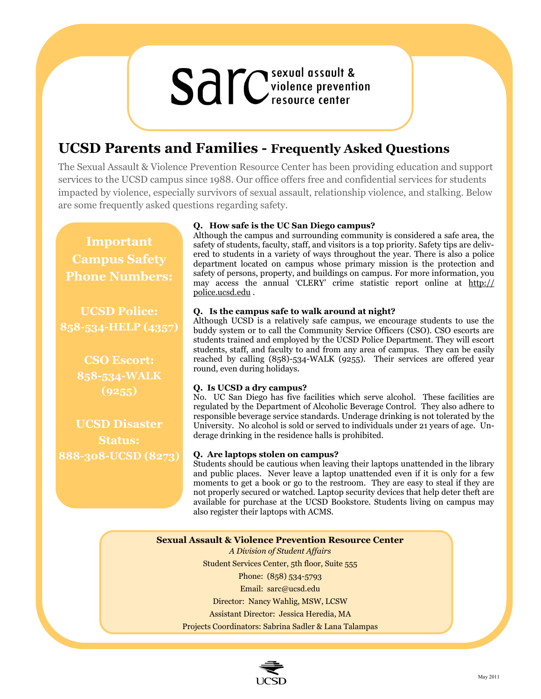# **Sall C**sexual assault &

# **UCSD Parents and Families - Frequently Asked Questions**

The Sexual Assault & Violence Prevention Resource Center has been providing education and support services to the UCSD campus since 1988. Our office offers free and confidential services for students impacted by violence, especially survivors of sexual assault, relationship violence, and stalking. Below are some frequently asked questions regarding safety.

**Important Campus Safety Phone Numbers:**

**UCSD Police: 858-534-HELP (4357)**

> **CSO Escort: 858-534-WALK (9255)**

**UCSD Disaster Status: 888-308-UCSD (8273)**

# **Q. How safe is the UC San Diego campus?**

Although the campus and surrounding community is considered a safe area, the safety of students, faculty, staff, and visitors is a top priority. Safety tips are delivered to students in a variety of ways throughout the year. There is also a police department located on campus whose primary mission is the protection and safety of persons, property, and buildings on campus. For more information, you may access the annual 'CLERY' crime statistic report online at [http://](http://police.ucsd.edu) [police.ucsd.edu](http://police.ucsd.edu) .

## **Q. Is the campus safe to walk around at night?**

Although UCSD is a relatively safe campus, we encourage students to use the buddy system or to call the Community Service Officers (CSO). CSO escorts are students trained and employed by the UCSD Police Department. They will escort students, staff, and faculty to and from any area of campus. They can be easily reached by calling (858)-534-WALK (9255). Their services are offered year round, even during holidays.

## **Q. Is UCSD a dry campus?**

No. UC San Diego has five facilities which serve alcohol. These facilities are regulated by the Department of Alcoholic Beverage Control. They also adhere to responsible beverage service standards. Underage drinking is not tolerated by the University. No alcohol is sold or served to individuals under 21 years of age. Underage drinking in the residence halls is prohibited.

## **Q. Are laptops stolen on campus?**

Students should be cautious when leaving their laptops unattended in the library and public places. Never leave a laptop unattended even if it is only for a few moments to get a book or go to the restroom. They are easy to steal if they are not properly secured or watched. Laptop security devices that help deter theft are available for purchase at the UCSD Bookstore. Students living on campus may also register their laptops with ACMS.

**Sexual Assault & Violence Prevention Resource Center**

*A Division of Student Affairs* Student Services Center, 5th floor, Suite 555 Phone: (858) 534-5793 Email: sarc@ucsd.edu Director: Nancy Wahlig, MSW, LCSW Assistant Director: Jessica Heredia, MA Projects Coordinators: Sabrina Sadler & Lana Talampas